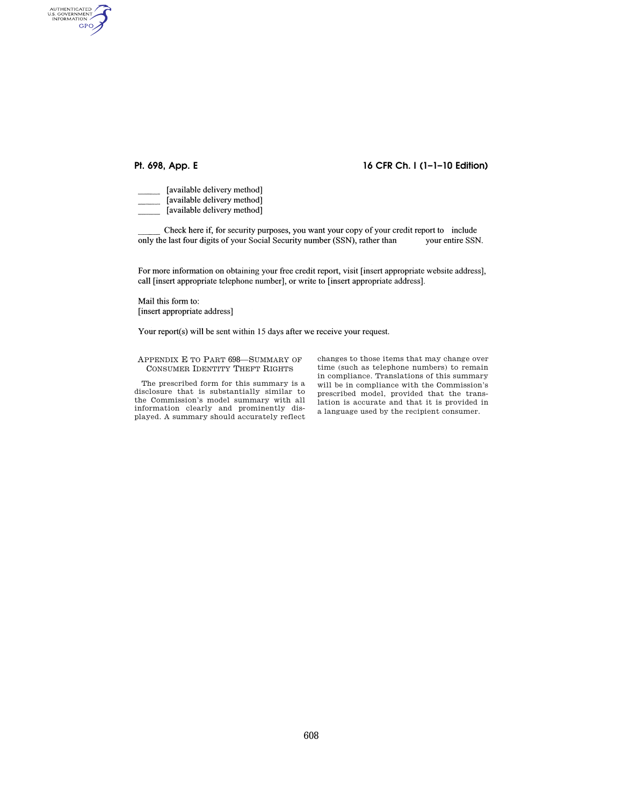AUTHENTICATED<br>U.S. GOVERNMENT<br>INFORMATION **GPO** 

# **Pt. 698, App. E 16 CFR Ch. I (1–1–10 Edition)**

[available delivery method] [available delivery method] [available delivery method]

Check here if, for security purposes, you want your copy of your credit report to include only the last four digits of your Social Security number (SSN), rather than your entire SSN.

For more information on obtaining your free credit report, visit [insert appropriate website address], call [insert appropriate telephone number], or write to [insert appropriate address].

Mail this form to: [insert appropriate address]

Your report(s) will be sent within 15 days after we receive your request.

APPENDIX E TO PART 698—SUMMARY OF CONSUMER IDENTITY THEFT RIGHTS

The prescribed form for this summary is a disclosure that is substantially similar to the Commission's model summary with all information clearly and prominently displayed. A summary should accurately reflect

changes to those items that may change over time (such as telephone numbers) to remain in compliance. Translations of this summary will be in compliance with the Commission's prescribed model, provided that the translation is accurate and that it is provided in a language used by the recipient consumer.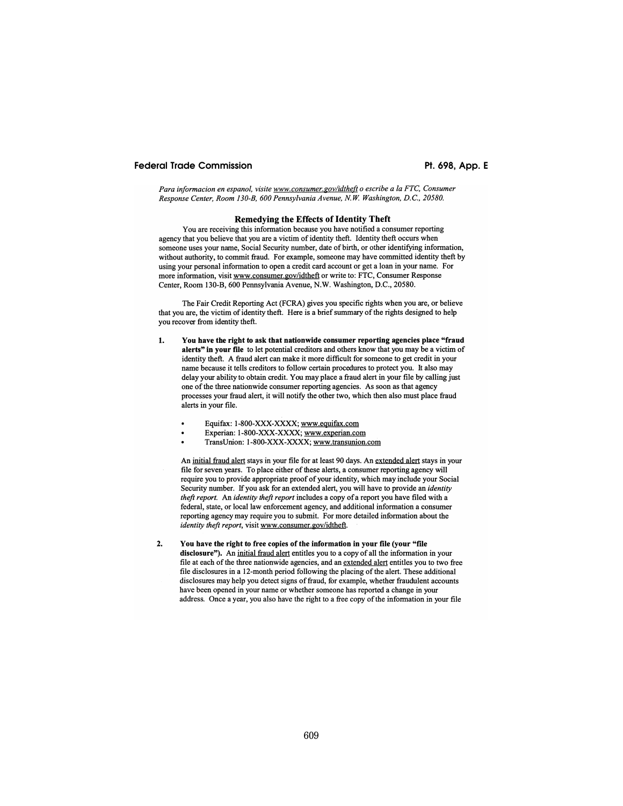## **Federal Trade Commission**

Pt. 698, App. E

Para informacion en espanol, visite www.consumer.gov/idtheft o escribe a la FTC, Consumer Response Center, Room 130-B, 600 Pennsylvania Avenue, N.W. Washington, D.C., 20580.

### **Remedying the Effects of Identity Theft**

You are receiving this information because you have notified a consumer reporting agency that you believe that you are a victim of identity theft. Identity theft occurs when someone uses your name, Social Security number, date of birth, or other identifying information, without authority, to commit fraud. For example, someone may have committed identity theft by using your personal information to open a credit card account or get a loan in your name. For more information, visit www.consumer.gov/idtheft or write to: FTC, Consumer Response Center, Room 130-B, 600 Pennsylvania Avenue, N.W. Washington, D.C., 20580.

The Fair Credit Reporting Act (FCRA) gives you specific rights when you are, or believe that you are, the victim of identity theft. Here is a brief summary of the rights designed to help you recover from identity theft.

- You have the right to ask that nationwide consumer reporting agencies place "fraud  $1.$ alerts" in your file to let potential creditors and others know that you may be a victim of identity theft. A fraud alert can make it more difficult for someone to get credit in your name because it tells creditors to follow certain procedures to protect you. It also may delay your ability to obtain credit. You may place a fraud alert in your file by calling just one of the three nationwide consumer reporting agencies. As soon as that agency processes your fraud alert, it will notify the other two, which then also must place fraud alerts in your file.
	- Equifax: 1-800-XXX-XXXX; www.equifax.com
	- Experian: 1-800-XXX-XXXX; www.experian.com
	- TransUnion: 1-800-XXX-XXXX; www.transunion.com

An initial fraud alert stays in your file for at least 90 days. An extended alert stays in your file for seven years. To place either of these alerts, a consumer reporting agency will require you to provide appropriate proof of your identity, which may include your Social Security number. If you ask for an extended alert, you will have to provide an *identity* theft report. An identity theft report includes a copy of a report you have filed with a federal, state, or local law enforcement agency, and additional information a consumer reporting agency may require you to submit. For more detailed information about the identity theft report, visit www.consumer.gov/idtheft.

 $2.$ You have the right to free copies of the information in your file (your "file disclosure"). An initial fraud alert entitles you to a copy of all the information in your file at each of the three nationwide agencies, and an extended alert entitles you to two free file disclosures in a 12-month period following the placing of the alert. These additional disclosures may help you detect signs of fraud, for example, whether fraudulent accounts have been opened in your name or whether someone has reported a change in your address. Once a year, you also have the right to a free copy of the information in your file